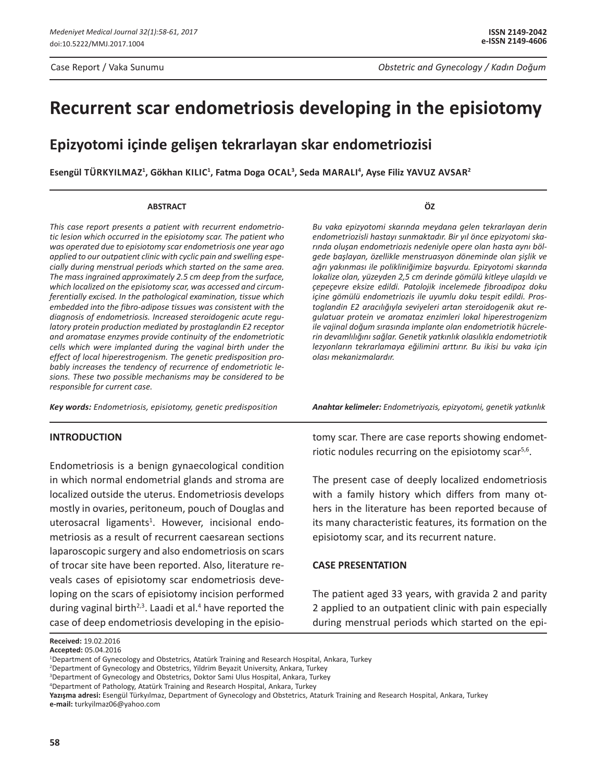# **Recurrent scar endometriosis developing in the episiotomy**

# **Epizyotomi içinde gelişen tekrarlayan skar endometriozisi**

**Esengül TürkyIlmaz1 , Gökhan KılIc1 , Fatma Doga Ocal3 , Seda MaralI 4 , Ayse Filiz Yavuz Avsar2**

#### **ABSTRACT**

*This case report presents a patient with recurrent endometriotic lesion which occurred in the episiotomy scar. The patient who was operated due to episiotomy scar endometriosis one year ago applied to our outpatient clinic with cyclic pain and swelling especially during menstrual periods which started on the same area. The mass ingrained approximately 2.5 cm deep from the surface, which localized on the episiotomy scar, was accessed and circumferentially excised. In the pathological examination, tissue which embedded into the fibro-adipose tissues was consistent with the diagnosis of endometriosis. Increased steroidogenic acute regulatory protein production mediated by prostaglandin E2 receptor and aromatase enzymes provide continuity of the endometriotic cells which were implanted during the vaginal birth under the effect of local hiperestrogenism. The genetic predisposition probably increases the tendency of recurrence of endometriotic lesions. These two possible mechanisms may be considered to be responsible for current case.*

*Key words: Endometriosis, episiotomy, genetic predisposition*

#### **INTRODUCTION**

Endometriosis is a benign gynaecological condition in which normal endometrial glands and stroma are localized outside the uterus. Endometriosis develops mostly in ovaries, peritoneum, pouch of Douglas and uterosacral ligaments<sup>1</sup>. However, incisional endometriosis as a result of recurrent caesarean sections laparoscopic surgery and also endometriosis on scars of trocar site have been reported. Also, literature reveals cases of episiotomy scar endometriosis developing on the scars of episiotomy incision performed during vaginal birth<sup>2,3</sup>. Laadi et al.<sup>4</sup> have reported the case of deep endometriosis developing in the episio*Bu vaka epizyotomi skarında meydana gelen tekrarlayan derin endometriozisli hastayı sunmaktadır. Bir yıl önce epizyotomi skarında oluşan endometriozis nedeniyle opere olan hasta aynı bölgede başlayan, özellikle menstruasyon döneminde olan şişlik ve ağrı yakınması ile polikliniğimize başvurdu. Epizyotomi skarında lokalize olan, yüzeyden 2,5 cm derinde gömülü kitleye ulaşıldı ve çepeçevre eksize edildi. Patolojik incelemede fibroadipoz doku içine gömülü endometriozis ile uyumlu doku tespit edildi. Prostoglandin E2 aracılığıyla seviyeleri artan steroidogenik akut regulatuar protein ve aromataz enzimleri lokal hiperestrogenizm ile vajinal doğum sırasında implante olan endometriotik hücrelerin devamlılığını sağlar. Genetik yatkınlık olasılıkla endometriotik lezyonların tekrarlamaya eğilimini arttırır. Bu ikisi bu vaka için olası mekanizmalardır.*

*Anahtar kelimeler: Endometriyozis, epizyotomi, genetik yatkınlık*

tomy scar. There are case reports showing endometriotic nodules recurring on the episiotomy scar<sup>5,6</sup>.

The present case of deeply localized endometriosis with a family history which differs from many others in the literature has been reported because of its many characteristic features, its formation on the episiotomy scar, and its recurrent nature.

### **CASE PRESENTATION**

The patient aged 33 years, with gravida 2 and parity 2 applied to an outpatient clinic with pain especially during menstrual periods which started on the epi-

**Yazışma adresi:** Esengül Türkyılmaz, Department of Gynecology and Obstetrics, Ataturk Training and Research Hospital, Ankara, Turkey **e-mail:** turkyilmaz06@yahoo.com

### **ÖZ**

**Received:** 19.02.2016

**Accepted:** 05.04.2016

<sup>&</sup>lt;sup>1</sup>Department of Gynecology and Obstetrics, Atatürk Training and Research Hospital, Ankara, Turkey

<sup>2</sup> Department of Gynecology and Obstetrics, Yildrim Beyazit University, Ankara, Turkey

<sup>&</sup>lt;sup>3</sup>Department of Gynecology and Obstetrics, Doktor Sami Ulus Hospital, Ankara, Turkey

<sup>4</sup> Department of Pathology, Atatürk Training and Research Hospital, Ankara, Turkey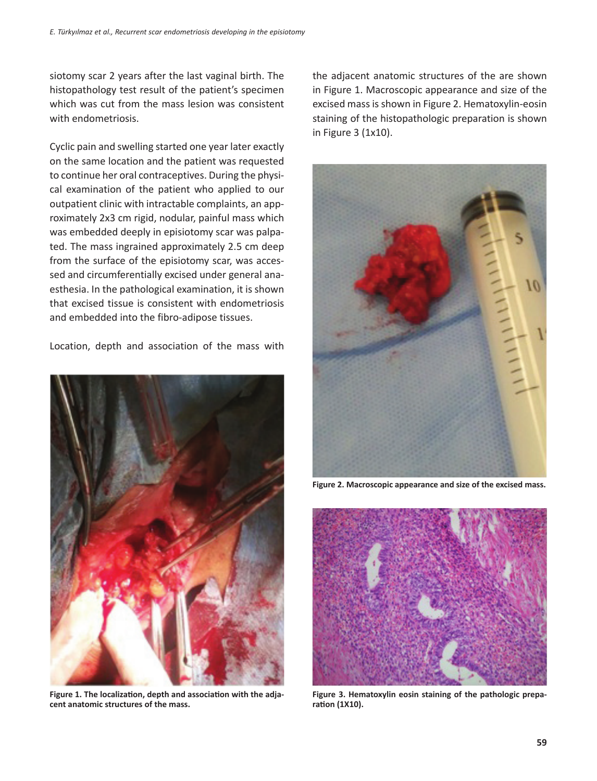siotomy scar 2 years after the last vaginal birth. The histopathology test result of the patient's specimen which was cut from the mass lesion was consistent with endometriosis.

Cyclic pain and swelling started one year later exactly on the same location and the patient was requested to continue her oral contraceptives. During the physical examination of the patient who applied to our outpatient clinic with intractable complaints, an approximately 2x3 cm rigid, nodular, painful mass which was embedded deeply in episiotomy scar was palpated. The mass ingrained approximately 2.5 cm deep from the surface of the episiotomy scar, was accessed and circumferentially excised under general anaesthesia. In the pathological examination, it is shown that excised tissue is consistent with endometriosis and embedded into the fibro-adipose tissues.

Location, depth and association of the mass with



**Figure 1. The localization, depth and association with the adjacent anatomic structures of the mass.**

the adjacent anatomic structures of the are shown in Figure 1. Macroscopic appearance and size of the excised mass is shown in Figure 2. Hematoxylin-eosin staining of the histopathologic preparation is shown in Figure 3 (1x10).



**Figure 2. Macroscopic appearance and size of the excised mass.**



**Figure 3. Hematoxylin eosin staining of the pathologic preparation (1X10).**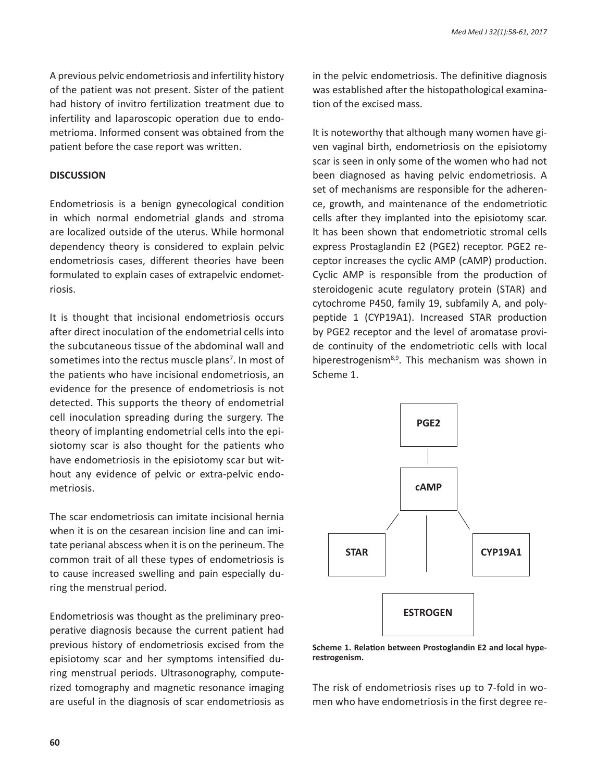A previous pelvic endometriosis and infertility history of the patient was not present. Sister of the patient had history of invitro fertilization treatment due to infertility and laparoscopic operation due to endometrioma. Informed consent was obtained from the patient before the case report was written.

#### **DISCUSSION**

Endometriosis is a benign gynecological condition in which normal endometrial glands and stroma are localized outside of the uterus. While hormonal dependency theory is considered to explain pelvic endometriosis cases, different theories have been formulated to explain cases of extrapelvic endometriosis.

It is thought that incisional endometriosis occurs after direct inoculation of the endometrial cells into the subcutaneous tissue of the abdominal wall and sometimes into the rectus muscle plans<sup>7</sup>. In most of the patients who have incisional endometriosis, an evidence for the presence of endometriosis is not detected. This supports the theory of endometrial cell inoculation spreading during the surgery. The theory of implanting endometrial cells into the episiotomy scar is also thought for the patients who have endometriosis in the episiotomy scar but without any evidence of pelvic or extra-pelvic endometriosis.

The scar endometriosis can imitate incisional hernia when it is on the cesarean incision line and can imitate perianal abscess when it is on the perineum. The common trait of all these types of endometriosis is to cause increased swelling and pain especially during the menstrual period.

Endometriosis was thought as the preliminary preoperative diagnosis because the current patient had previous history of endometriosis excised from the episiotomy scar and her symptoms intensified during menstrual periods. Ultrasonography, computerized tomography and magnetic resonance imaging are useful in the diagnosis of scar endometriosis as in the pelvic endometriosis. The definitive diagnosis was established after the histopathological examination of the excised mass.

It is noteworthy that although many women have given vaginal birth, endometriosis on the episiotomy scar is seen in only some of the women who had not been diagnosed as having pelvic endometriosis. A set of mechanisms are responsible for the adherence, growth, and maintenance of the endometriotic cells after they implanted into the episiotomy scar. It has been shown that endometriotic stromal cells express Prostaglandin E2 (PGE2) receptor. PGE2 receptor increases the cyclic AMP (cAMP) production. Cyclic AMP is responsible from the production of steroidogenic acute regulatory protein (STAR) and cytochrome P450, family 19, subfamily A, and polypeptide 1 (CYP19A1). Increased STAR production by PGE2 receptor and the level of aromatase provide continuity of the endometriotic cells with local hiperestrogenism<sup>8,9</sup>. This mechanism was shown in Scheme 1.



**Scheme 1. Relation between Prostoglandin E2 and local hyperestrogenism.**

The risk of endometriosis rises up to 7-fold in women who have endometriosis in the first degree re